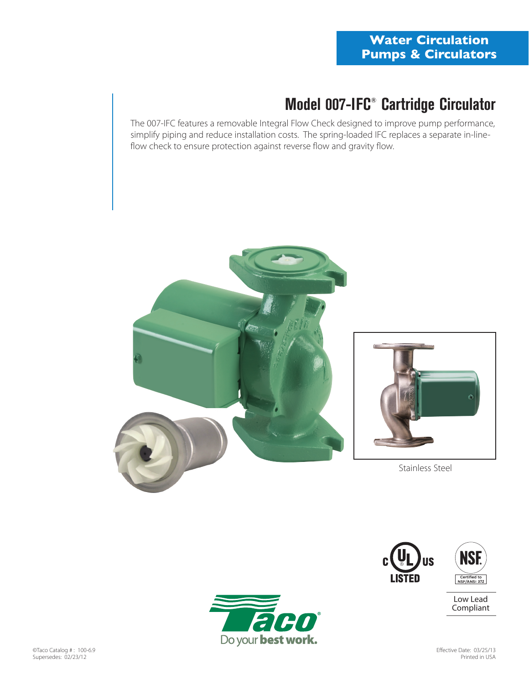# **Model 007-IFC® Cartridge Circulator**

The 007-IFC features a removable Integral Flow Check designed to improve pump performance, simplify piping and reduce installation costs. The spring-loaded IFC replaces a separate in-lineflow check to ensure protection against reverse flow and gravity flow.





Stainless Steel





Low Lead Compliant